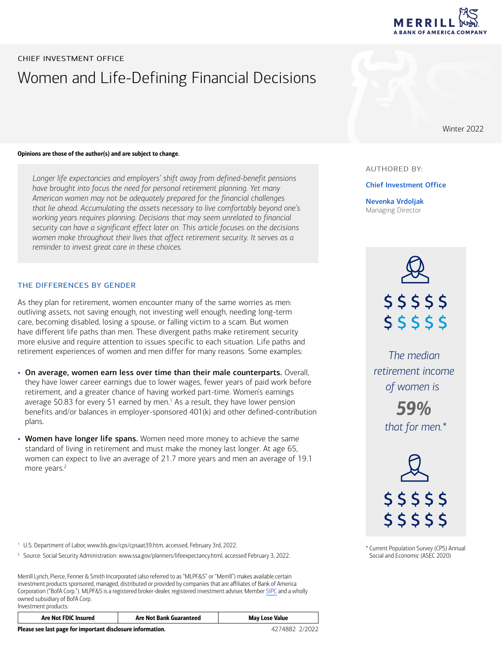

# CHIEF INVESTMENT OFFICE Women and Life-Defining Financial Decisions

### Opinions are those of the author(s) and are subject to change.

*Longer life expectancies and employers' shift away from defined-benefit pensions have brought into focus the need for personal retirement planning. Yet many American women may not be adequately prepared for the financial challenges that lie ahead. Accumulating the assets necessary to live comfortably beyond one's working years requires planning. Decisions that may seem unrelated to financial security can have a significant effect later on. This article focuses on the decisions women make throughout their lives that affect retirement security. It serves as a reminder to invest great care in these choices.*

#### THE DIFFERENCES BY GENDER

As they plan for retirement, women encounter many of the same worries as men: outliving assets, not saving enough, not investing well enough, needing long-term care, becoming disabled, losing a spouse, or falling victim to a scam. But women have different life paths than men. These divergent paths make retirement security more elusive and require attention to issues specific to each situation. Life paths and retirement experiences of women and men differ for many reasons. Some examples:

- On average, women earn less over time than their male counterparts. Overall, they have lower career earnings due to lower wages, fewer years of paid work before retirement, and a greater chance of having worked part-time. Women's earnings average \$0.83 for every \$1 earned by men.<sup>1</sup> As a result, they have lower pension benefits and/or balances in employer-sponsored 401(k) and other defined-contribution plans.
- Women have longer life spans. Women need more money to achieve the same standard of living in retirement and must make the money last longer. At age 65, women can expect to live an average of 21.7 more years and men an average of 19.1 more years.<sup>2</sup>

Winter 2022

#### AUTHORED BY:

Chief Investment Office

Nevenka Vrdoljak Managing Director



The median retirement income of women is

> **59%** that for men.\*

55555 55555

\* Current Population Survey (CPS) Annual Social and Economic (ASEC 2020)

1 U.S. Department of Labor, www.bls.gov/cps/cpsaat39.htm, accessed, February 3rd, 2022.

2 Source: Social Security Administration: www.ssa.gov/planners/lifeexpectancy.html, accessed February 3, 2022.

Merrill Lynch, Pierce, Fenner & Smith Incorporated (also referred to as "MLPF&S" or "Merrill") makes available certain investment products sponsored, managed, distributed or provided by companies that are affiliates of Bank of America Corporation ("BofA Corp."). MLPF&S is a registered broker-dealer, registered investment adviser, Member [SIPC](https://www.sipc.org/) and a wholly owned subsidiary of BofA Corp. Investment products:

| <b>Are Not FDIC Insured</b> | <b>Are Not Bank Guaranteed</b> | <b>May Lose Value</b> |
|-----------------------------|--------------------------------|-----------------------|
|                             |                                |                       |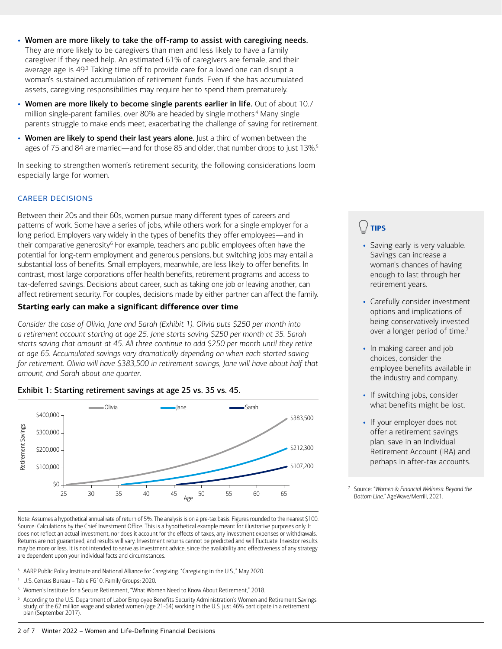- Women are more likely to take the off-ramp to assist with caregiving needs. They are more likely to be caregivers than men and less likely to have a family caregiver if they need help. An estimated 61% of caregivers are female, and their average age is 49<sup>3</sup> Taking time off to provide care for a loved one can disrupt a woman's sustained accumulation of retirement funds. Even if she has accumulated assets, caregiving responsibilities may require her to spend them prematurely.
- Women are more likely to become single parents earlier in life. Out of about 10.7 million single-parent families, over 80% are headed by single mothers<sup>4</sup> Many single parents struggle to make ends meet, exacerbating the challenge of saving for retirement.
- Women are likely to spend their last years alone. Just a third of women between the ages of 75 and 84 are married—and for those 85 and older, that number drops to just 13%.<sup>5</sup>

In seeking to strengthen women's retirement security, the following considerations loom especially large for women.

## CAREER DECISIONS

Between their 20s and their 60s, women pursue many different types of careers and patterns of work. Some have a series of jobs, while others work for a single employer for a long period. Employers vary widely in the types of benefits they offer employees—and in their comparative generosity<sup>6</sup> For example, teachers and public employees often have the potential for long-term employment and generous pensions, but switching jobs may entail a substantial loss of benefits. Small employers, meanwhile, are less likely to offer benefits. In contrast, most large corporations offer health benefits, retirement programs and access to tax-deferred savings. Decisions about career, such as taking one job or leaving another, can affect retirement security. For couples, decisions made by either partner can affect the family.

## **Starting early can make a significant difference over time**

*Consider the case of Olivia, Jane and Sarah (Exhibit 1). Olivia puts \$250 per month into a retirement account starting at age 25. Jane starts saving \$250 per month at 35. Sarah starts saving that amount at 45. All three continue to add \$250 per month until they retire at age 65. Accumulated savings vary dramatically depending on when each started saving for retirement. Olivia will have \$383,500 in retirement savings, Jane will have about half that amount, and Sarah about one quarter.*

## Exhibit 1: Starting retirement savings at age 25 vs. 35 vs. 45.



Note: Assumes a hypothetical annual rate of return of 5%. The analysis is on a pre-tax basis. Figures rounded to the nearest \$100. Source: Calculations by the Chief Investment Office. This is a hypothetical example meant for illustrative purposes only. It does not reflect an actual investment, nor does it account for the effects of taxes, any investment expenses or withdrawals. Returns are not guaranteed, and results will vary. Investment returns cannot be predicted and will fluctuate. Investor results may be more or less. It is not intended to serve as investment advice, since the availability and effectiveness of any strategy are dependent upon your individual facts and circumstances.

- 3 AARP Public Policy Institute and National Alliance for Caregiving. "Caregiving in the U.S.," May 2020.
- 4 U.S. Census Bureau Table FG10. Family Groups: 2020.
- 5 Women's Institute for a Secure Retirement, "What Women Need to Know About Retirement," 2018.
- $^6\,$  According to the U.S. Department of Labor Employee Benefits Security Administration's Women and Retirement Savings study, of the 62 million wage and salaried women (age 21-64) working in the U.S. just 46% participate in a retirement plan (September 2017).

# TIPS

- Saving early is very valuable. Savings can increase a woman's chances of having enough to last through her retirement years.
- Carefully consider investment options and implications of being conservatively invested over a longer period of time.<sup>7</sup>
- In making career and job choices, consider the employee benefits available in the industry and company.
- If switching jobs, consider what benefits might be lost.
- If your employer does not offer a retirement savings plan, save in an Individual Retirement Account (IRA) and perhaps in after-tax accounts.

7 Source: "*Women & Financial Wellness: Beyond the Bottom Line,"* AgeWave/Merrill, 2021.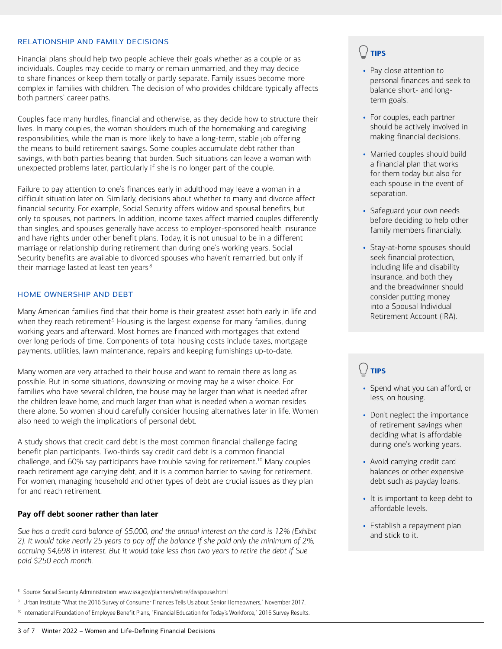### RELATIONSHIP AND FAMILY DECISIONS

Financial plans should help two people achieve their goals whether as a couple or as individuals. Couples may decide to marry or remain unmarried, and they may decide to share finances or keep them totally or partly separate. Family issues become more complex in families with children. The decision of who provides childcare typically affects both partners' career paths.

Couples face many hurdles, financial and otherwise, as they decide how to structure their lives. In many couples, the woman shoulders much of the homemaking and caregiving responsibilities, while the man is more likely to have a long-term, stable job offering the means to build retirement savings. Some couples accumulate debt rather than savings, with both parties bearing that burden. Such situations can leave a woman with unexpected problems later, particularly if she is no longer part of the couple.

Failure to pay attention to one's finances early in adulthood may leave a woman in a difficult situation later on. Similarly, decisions about whether to marry and divorce affect financial security. For example, Social Security offers widow and spousal benefits, but only to spouses, not partners. In addition, income taxes affect married couples differently than singles, and spouses generally have access to employer-sponsored health insurance and have rights under other benefit plans. Today, it is not unusual to be in a different marriage or relationship during retirement than during one's working years. Social Security benefits are available to divorced spouses who haven't remarried, but only if their marriage lasted at least ten years.<sup>8</sup>

#### HOME OWNERSHIP AND DEBT

Many American families find that their home is their greatest asset both early in life and when they reach retirement<sup>9</sup> Housing is the largest expense for many families, during working years and afterward. Most homes are financed with mortgages that extend over long periods of time. Components of total housing costs include taxes, mortgage payments, utilities, lawn maintenance, repairs and keeping furnishings up-to-date.

Many women are very attached to their house and want to remain there as long as possible. But in some situations, downsizing or moving may be a wiser choice. For families who have several children, the house may be larger than what is needed after the children leave home, and much larger than what is needed when a woman resides there alone. So women should carefully consider housing alternatives later in life. Women also need to weigh the implications of personal debt.

A study shows that credit card debt is the most common financial challenge facing benefit plan participants. Two-thirds say credit card debt is a common financial challenge, and 60% say participants have trouble saving for retirement.<sup>10</sup> Many couples reach retirement age carrying debt, and it is a common barrier to saving for retirement. For women, managing household and other types of debt are crucial issues as they plan for and reach retirement.

### **Pay off debt sooner rather than later**

*Sue has a credit card balance of \$5,000, and the annual interest on the card is 12% (Exhibit 2). It would take nearly 25 years to pay off the balance if she paid only the minimum of 2%, accruing \$4,698 in interest. But it would take less than two years to retire the debt if Sue paid \$250 each month.*

- 8 Source: Social Security Administration: www.ssa.gov/planners/retire/divspouse.html
- $^\circ$  Urban Institute "What the 2016 Survey of Consumer Finances Tells Us about Senior Homeowners," November 2017.
- <sup>10</sup> International Foundation of Employee Benefit Plans, "Financial Education for Today's Workforce," 2016 Survey Results.

# $\sqrt{ }$  TIPS

- Pay close attention to personal finances and seek to balance short- and longterm goals.
- For couples, each partner should be actively involved in making financial decisions.
- Married couples should build a financial plan that works for them today but also for each spouse in the event of separation.
- Safeguard your own needs before deciding to help other family members financially.
- Stay-at-home spouses should seek financial protection, including life and disability insurance, and both they and the breadwinner should consider putting money into a Spousal Individual Retirement Account (IRA).

# $/$  TIPS

- Spend what you can afford, or less, on housing.
- Don't neglect the importance of retirement savings when deciding what is affordable during one's working years.
- Avoid carrying credit card balances or other expensive debt such as payday loans.
- It is important to keep debt to affordable levels.
- Establish a repayment plan and stick to it.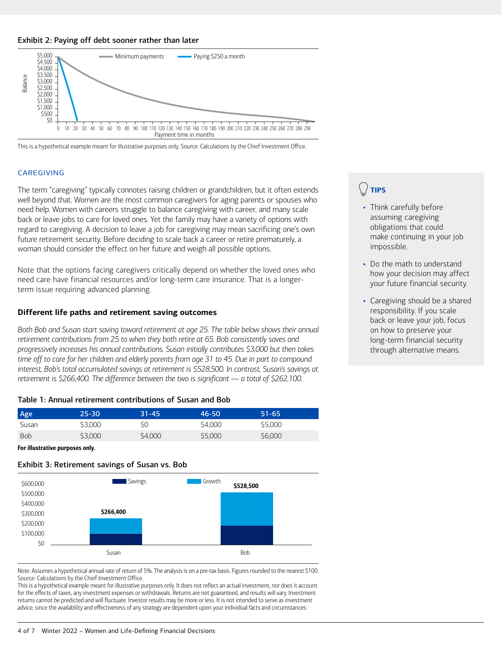#### Exhibit 2: Paying off debt sooner rather than later



This is a hypothetical example meant for illustrative purposes only. Source: Calculations by the Chief Investment Office.

## CAREGIVING

The term "caregiving" typically connotes raising children or grandchildren, but it often extends well beyond that. Women are the most common caregivers for aging parents or spouses who need help. Women with careers struggle to balance caregiving with career, and many scale back or leave jobs to care for loved ones. Yet the family may have a variety of options with regard to caregiving. A decision to leave a job for caregiving may mean sacrificing one's own future retirement security. Before deciding to scale back a career or retire prematurely, a woman should consider the effect on her future and weigh all possible options.

Note that the options facing caregivers critically depend on whether the loved ones who need care have financial resources and/or long-term care insurance. That is a longerterm issue requiring advanced planning.

## **Different life paths and retirement saving outcomes**

*Both Bob and Susan start saving toward retirement at age 25. The table below shows their annual retirement contributions from 25 to when they both retire at 65. Bob consistently saves and progressively increases his annual contributions. Susan initially contributes \$3,000 but then takes time off to care for her children and elderly parents from age 31 to 45. Due in part to compound interest, Bob's total accumulated savings at retirement is \$528,500. In contrast, Susan's savings at retirement is \$266,400. The difference between the two is significant — a total of \$262,100.*

### Table 1: Annual retirement contributions of Susan and Bob

| Age        | $25 - 30$ | $31 - 45$ | 46-50   | $51 - 65$ |
|------------|-----------|-----------|---------|-----------|
| Susan      | \$3,000   | S0        | \$4,000 | \$5,000   |
| <b>Bob</b> | \$3,000   | \$4,000   | \$5,000 | \$6,000   |

For illustrative purposes only.

### Exhibit 3: Retirement savings of Susan vs. Bob



Note: Assumes a hypothetical annual rate of return of 5%. The analysis is on a pre-tax basis. Figures rounded to the nearest \$100. Source: Calculations by the Chief Investment Office.

This is a hypothetical example meant for illustrative purposes only. It does not reflect an actual investment, nor does it account for the effects of taxes, any investment expenses or withdrawals. Returns are not guaranteed, and results will vary. Investment returns cannot be predicted and will fluctuate. Investor results may be more or less. It is not intended to serve as investment advice, since the availability and effectiveness of any strategy are dependent upon your individual facts and circumstances.

# TIPS

- Think carefully before assuming caregiving obligations that could make continuing in your job impossible.
- Do the math to understand how your decision may affect your future financial security.
- Caregiving should be a shared responsibility. If you scale back or leave your job, focus on how to preserve your long-term financial security through alternative means.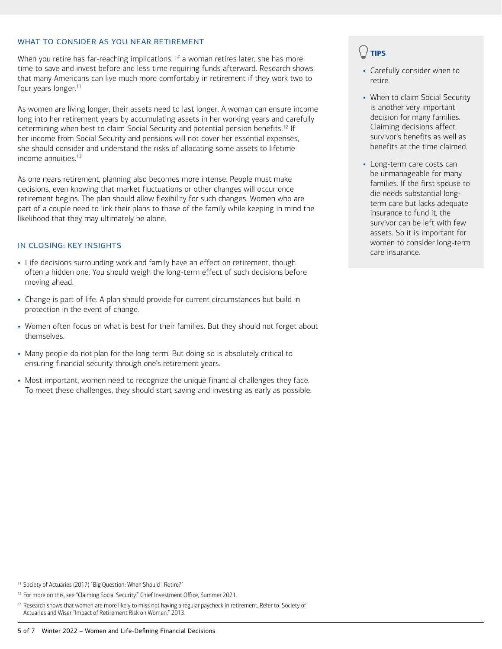### WHAT TO CONSIDER AS YOU NEAR RETIREMENT

When you retire has far-reaching implications. If a woman retires later, she has more time to save and invest before and less time requiring funds afterward. Research shows that many Americans can live much more comfortably in retirement if they work two to four years longer.<sup>11</sup>

As women are living longer, their assets need to last longer. A woman can ensure income long into her retirement years by accumulating assets in her working years and carefully determining when best to claim Social Security and potential pension benefits.<sup>12</sup> If her income from Social Security and pensions will not cover her essential expenses, she should consider and understand the risks of allocating some assets to lifetime income annuities.13

As one nears retirement, planning also becomes more intense. People must make decisions, even knowing that market fluctuations or other changes will occur once retirement begins. The plan should allow flexibility for such changes. Women who are part of a couple need to link their plans to those of the family while keeping in mind the likelihood that they may ultimately be alone.

## IN CLOSING: KEY INSIGHTS

- Life decisions surrounding work and family have an effect on retirement, though often a hidden one. You should weigh the long-term effect of such decisions before moving ahead.
- Change is part of life. A plan should provide for current circumstances but build in protection in the event of change.
- Women often focus on what is best for their families. But they should not forget about themselves.
- Many people do not plan for the long term. But doing so is absolutely critical to ensuring financial security through one's retirement years.
- Most important, women need to recognize the unique financial challenges they face. To meet these challenges, they should start saving and investing as early as possible.

# $\sqrt{}$  TIPS

- Carefully consider when to retire.
- When to claim Social Security is another very important decision for many families. Claiming decisions affect survivor's benefits as well as benefits at the time claimed.
- Long-term care costs can be unmanageable for many families. If the first spouse to die needs substantial longterm care but lacks adequate insurance to fund it, the survivor can be left with few assets. So it is important for women to consider long-term care insurance.

<sup>&</sup>lt;sup>11</sup> Society of Actuaries (2017) "Big Question: When Should I Retire?"

<sup>&</sup>lt;sup>12</sup> For more on this, see "Claiming Social Security," Chief Investment Office, Summer 2021.

<sup>&</sup>lt;sup>13</sup> Research shows that women are more likely to miss not having a regular paycheck in retirement. Refer to: Society of Actuaries and Wiser "Impact of Retirement Risk on Women," 2013.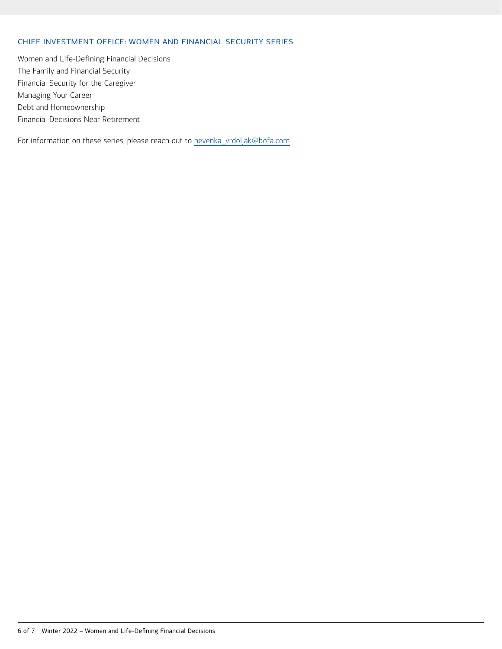## CHIEF INVESTMENT OFFICE: WOMEN AND FINANCIAL SECURITY SERIES

Women and Life-Defining Financial Decisions The Family and Financial Security Financial Security for the Caregiver Managing Your Career Debt and Homeownership Financial Decisions Near Retirement

For information on these series, please reach out to nevenka\_vrdoljak@bofa.com